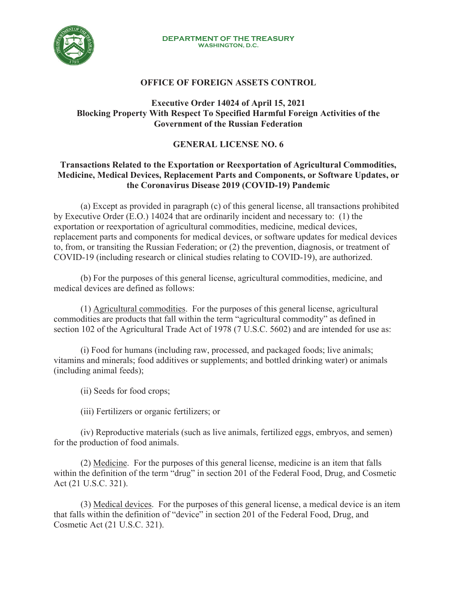

#### **DEPARTMENT OF THE TREASURY WASHINGTON, D.C.**

## **OFFICE OF FOREIGN ASSETS CONTROL**

# **Executive Order 14024 of April 15, 2021 Blocking Property With Respect To Specified Harmful Foreign Activities of the Government of the Russian Federation**

# **GENERAL LICENSE NO. 6**

## **Transactions Related to the Exportation or Reexportation of Agricultural Commodities, Medicine, Medical Devices, Replacement Parts and Components, or Software Updates, or the Coronavirus Disease 2019 (COVID-19) Pandemic**

(a) Except as provided in paragraph (c) of this general license, all transactions prohibited by Executive Order (E.O.) 14024 that are ordinarily incident and necessary to: (1) the exportation or reexportation of agricultural commodities, medicine, medical devices, replacement parts and components for medical devices, or software updates for medical devices to, from, or transiting the Russian Federation; or (2) the prevention, diagnosis, or treatment of COVID-19 (including research or clinical studies relating to COVID-19), are authorized.

(b) For the purposes of this general license, agricultural commodities, medicine, and medical devices are defined as follows:

 (1) Agricultural commodities. For the purposes of this general license, agricultural commodities are products that fall within the term "agricultural commodity" as defined in section 102 of the Agricultural Trade Act of 1978 (7 U.S.C. 5602) and are intended for use as:

 (i) Food for humans (including raw, processed, and packaged foods; live animals; vitamins and minerals; food additives or supplements; and bottled drinking water) or animals (including animal feeds);

(ii) Seeds for food crops;

(iii) Fertilizers or organic fertilizers; or

 (iv) Reproductive materials (such as live animals, fertilized eggs, embryos, and semen) for the production of food animals.

 (2) Medicine. For the purposes of this general license, medicine is an item that falls within the definition of the term "drug" in section 201 of the Federal Food, Drug, and Cosmetic Act (21 U.S.C. 321).

 (3) Medical devices. For the purposes of this general license, a medical device is an item that falls within the definition of "device" in section 201 of the Federal Food, Drug, and Cosmetic Act (21 U.S.C. 321).